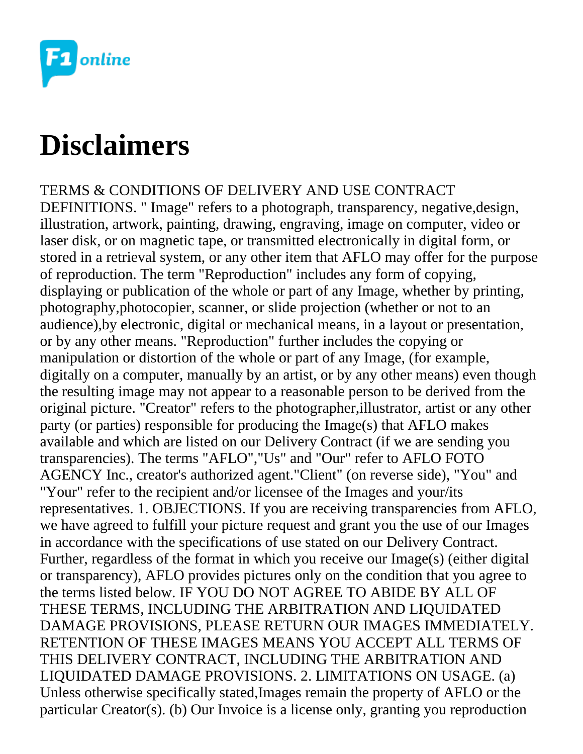

## **Disclaimers**

TERMS & CONDITIONS OF DELIVERY AND USE CONTRACT DEFINITIONS. " Image" refers to a photograph, transparency, negative,design, illustration, artwork, painting, drawing, engraving, image on computer, video or laser disk, or on magnetic tape, or transmitted electronically in digital form, or stored in a retrieval system, or any other item that AFLO may offer for the purpose of reproduction. The term "Reproduction" includes any form of copying, displaying or publication of the whole or part of any Image, whether by printing, photography,photocopier, scanner, or slide projection (whether or not to an audience),by electronic, digital or mechanical means, in a layout or presentation, or by any other means. "Reproduction" further includes the copying or manipulation or distortion of the whole or part of any Image, (for example, digitally on a computer, manually by an artist, or by any other means) even though the resulting image may not appear to a reasonable person to be derived from the original picture. "Creator" refers to the photographer,illustrator, artist or any other party (or parties) responsible for producing the Image(s) that AFLO makes available and which are listed on our Delivery Contract (if we are sending you transparencies). The terms "AFLO","Us" and "Our" refer to AFLO FOTO AGENCY Inc., creator's authorized agent."Client" (on reverse side), "You" and "Your" refer to the recipient and/or licensee of the Images and your/its representatives. 1. OBJECTIONS. If you are receiving transparencies from AFLO, we have agreed to fulfill your picture request and grant you the use of our Images in accordance with the specifications of use stated on our Delivery Contract. Further, regardless of the format in which you receive our Image(s) (either digital or transparency), AFLO provides pictures only on the condition that you agree to the terms listed below. IF YOU DO NOT AGREE TO ABIDE BY ALL OF THESE TERMS, INCLUDING THE ARBITRATION AND LIQUIDATED DAMAGE PROVISIONS, PLEASE RETURN OUR IMAGES IMMEDIATELY. RETENTION OF THESE IMAGES MEANS YOU ACCEPT ALL TERMS OF THIS DELIVERY CONTRACT, INCLUDING THE ARBITRATION AND LIQUIDATED DAMAGE PROVISIONS. 2. LIMITATIONS ON USAGE. (a) Unless otherwise specifically stated,Images remain the property of AFLO or the particular Creator(s). (b) Our Invoice is a license only, granting you reproduction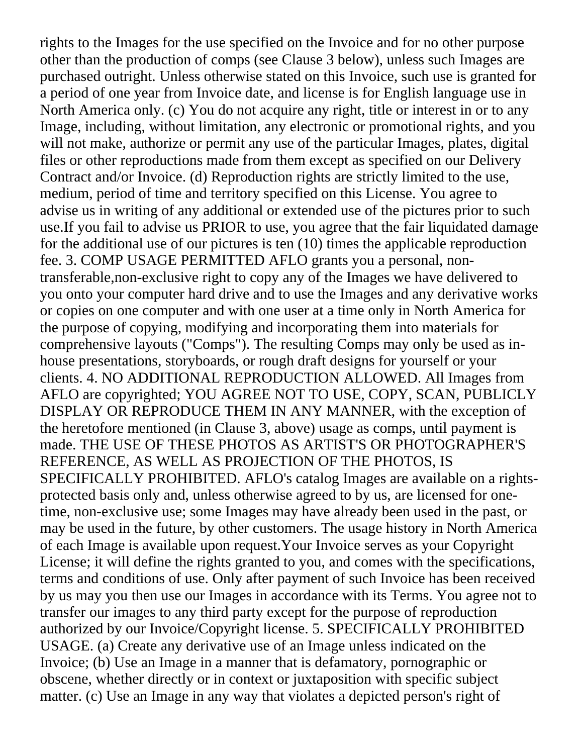rights to the Images for the use specified on the Invoice and for no other purpose other than the production of comps (see Clause 3 below), unless such Images are purchased outright. Unless otherwise stated on this Invoice, such use is granted for a period of one year from Invoice date, and license is for English language use in North America only. (c) You do not acquire any right, title or interest in or to any Image, including, without limitation, any electronic or promotional rights, and you will not make, authorize or permit any use of the particular Images, plates, digital files or other reproductions made from them except as specified on our Delivery Contract and/or Invoice. (d) Reproduction rights are strictly limited to the use, medium, period of time and territory specified on this License. You agree to advise us in writing of any additional or extended use of the pictures prior to such use.If you fail to advise us PRIOR to use, you agree that the fair liquidated damage for the additional use of our pictures is ten (10) times the applicable reproduction fee. 3. COMP USAGE PERMITTED AFLO grants you a personal, nontransferable,non-exclusive right to copy any of the Images we have delivered to you onto your computer hard drive and to use the Images and any derivative works or copies on one computer and with one user at a time only in North America for the purpose of copying, modifying and incorporating them into materials for comprehensive layouts ("Comps"). The resulting Comps may only be used as inhouse presentations, storyboards, or rough draft designs for yourself or your clients. 4. NO ADDITIONAL REPRODUCTION ALLOWED. All Images from AFLO are copyrighted; YOU AGREE NOT TO USE, COPY, SCAN, PUBLICLY DISPLAY OR REPRODUCE THEM IN ANY MANNER, with the exception of the heretofore mentioned (in Clause 3, above) usage as comps, until payment is made. THE USE OF THESE PHOTOS AS ARTIST'S OR PHOTOGRAPHER'S REFERENCE, AS WELL AS PROJECTION OF THE PHOTOS, IS SPECIFICALLY PROHIBITED. AFLO's catalog Images are available on a rightsprotected basis only and, unless otherwise agreed to by us, are licensed for onetime, non-exclusive use; some Images may have already been used in the past, or may be used in the future, by other customers. The usage history in North America of each Image is available upon request.Your Invoice serves as your Copyright License; it will define the rights granted to you, and comes with the specifications, terms and conditions of use. Only after payment of such Invoice has been received by us may you then use our Images in accordance with its Terms. You agree not to transfer our images to any third party except for the purpose of reproduction authorized by our Invoice/Copyright license. 5. SPECIFICALLY PROHIBITED USAGE. (a) Create any derivative use of an Image unless indicated on the Invoice; (b) Use an Image in a manner that is defamatory, pornographic or obscene, whether directly or in context or juxtaposition with specific subject matter. (c) Use an Image in any way that violates a depicted person's right of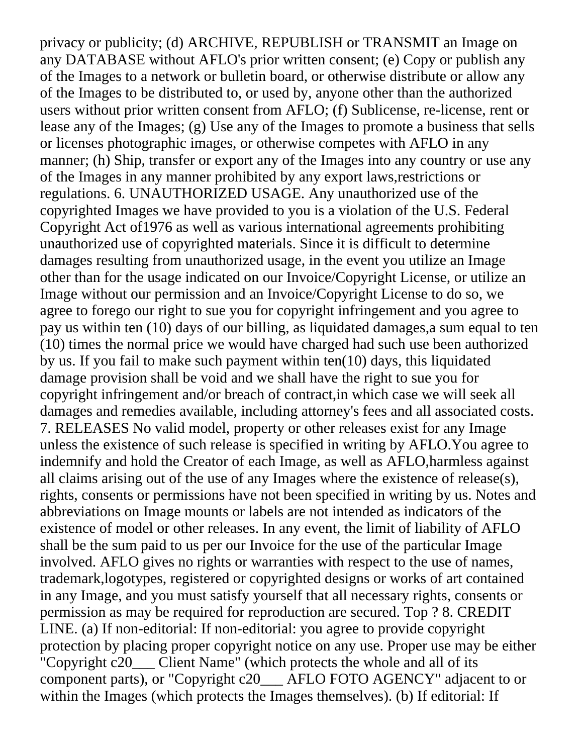privacy or publicity; (d) ARCHIVE, REPUBLISH or TRANSMIT an Image on any DATABASE without AFLO's prior written consent; (e) Copy or publish any of the Images to a network or bulletin board, or otherwise distribute or allow any of the Images to be distributed to, or used by, anyone other than the authorized users without prior written consent from AFLO; (f) Sublicense, re-license, rent or lease any of the Images; (g) Use any of the Images to promote a business that sells or licenses photographic images, or otherwise competes with AFLO in any manner; (h) Ship, transfer or export any of the Images into any country or use any of the Images in any manner prohibited by any export laws,restrictions or regulations. 6. UNAUTHORIZED USAGE. Any unauthorized use of the copyrighted Images we have provided to you is a violation of the U.S. Federal Copyright Act of1976 as well as various international agreements prohibiting unauthorized use of copyrighted materials. Since it is difficult to determine damages resulting from unauthorized usage, in the event you utilize an Image other than for the usage indicated on our Invoice/Copyright License, or utilize an Image without our permission and an Invoice/Copyright License to do so, we agree to forego our right to sue you for copyright infringement and you agree to pay us within ten (10) days of our billing, as liquidated damages,a sum equal to ten (10) times the normal price we would have charged had such use been authorized by us. If you fail to make such payment within ten(10) days, this liquidated damage provision shall be void and we shall have the right to sue you for copyright infringement and/or breach of contract,in which case we will seek all damages and remedies available, including attorney's fees and all associated costs. 7. RELEASES No valid model, property or other releases exist for any Image unless the existence of such release is specified in writing by AFLO.You agree to indemnify and hold the Creator of each Image, as well as AFLO,harmless against all claims arising out of the use of any Images where the existence of release(s), rights, consents or permissions have not been specified in writing by us. Notes and abbreviations on Image mounts or labels are not intended as indicators of the existence of model or other releases. In any event, the limit of liability of AFLO shall be the sum paid to us per our Invoice for the use of the particular Image involved. AFLO gives no rights or warranties with respect to the use of names, trademark,logotypes, registered or copyrighted designs or works of art contained in any Image, and you must satisfy yourself that all necessary rights, consents or permission as may be required for reproduction are secured. Top ? 8. CREDIT LINE. (a) If non-editorial: If non-editorial: you agree to provide copyright protection by placing proper copyright notice on any use. Proper use may be either "Copyright c20\_\_\_ Client Name" (which protects the whole and all of its component parts), or "Copyright c20\_\_\_ AFLO FOTO AGENCY" adjacent to or within the Images (which protects the Images themselves). (b) If editorial: If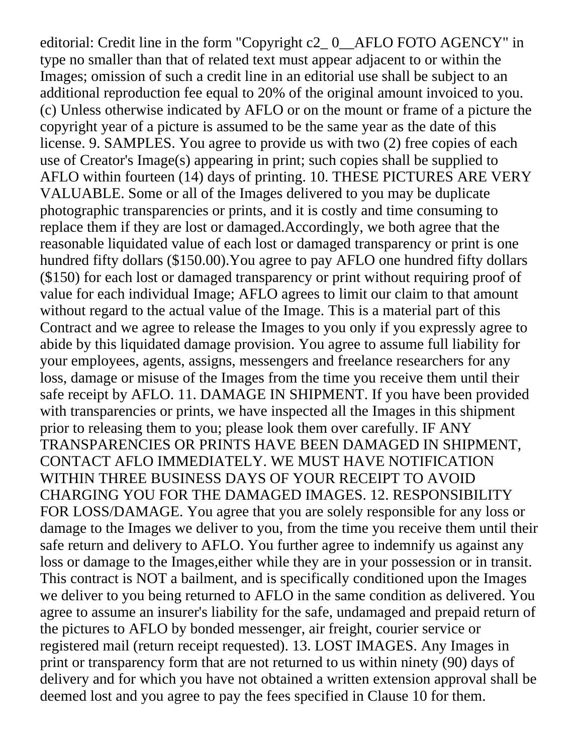editorial: Credit line in the form "Copyright c2\_ 0\_\_AFLO FOTO AGENCY" in type no smaller than that of related text must appear adjacent to or within the Images; omission of such a credit line in an editorial use shall be subject to an additional reproduction fee equal to 20% of the original amount invoiced to you. (c) Unless otherwise indicated by AFLO or on the mount or frame of a picture the copyright year of a picture is assumed to be the same year as the date of this license. 9. SAMPLES. You agree to provide us with two (2) free copies of each use of Creator's Image(s) appearing in print; such copies shall be supplied to AFLO within fourteen (14) days of printing. 10. THESE PICTURES ARE VERY VALUABLE. Some or all of the Images delivered to you may be duplicate photographic transparencies or prints, and it is costly and time consuming to replace them if they are lost or damaged.Accordingly, we both agree that the reasonable liquidated value of each lost or damaged transparency or print is one hundred fifty dollars (\$150.00).You agree to pay AFLO one hundred fifty dollars (\$150) for each lost or damaged transparency or print without requiring proof of value for each individual Image; AFLO agrees to limit our claim to that amount without regard to the actual value of the Image. This is a material part of this Contract and we agree to release the Images to you only if you expressly agree to abide by this liquidated damage provision. You agree to assume full liability for your employees, agents, assigns, messengers and freelance researchers for any loss, damage or misuse of the Images from the time you receive them until their safe receipt by AFLO. 11. DAMAGE IN SHIPMENT. If you have been provided with transparencies or prints, we have inspected all the Images in this shipment prior to releasing them to you; please look them over carefully. IF ANY TRANSPARENCIES OR PRINTS HAVE BEEN DAMAGED IN SHIPMENT, CONTACT AFLO IMMEDIATELY. WE MUST HAVE NOTIFICATION WITHIN THREE BUSINESS DAYS OF YOUR RECEIPT TO AVOID CHARGING YOU FOR THE DAMAGED IMAGES. 12. RESPONSIBILITY FOR LOSS/DAMAGE. You agree that you are solely responsible for any loss or damage to the Images we deliver to you, from the time you receive them until their safe return and delivery to AFLO. You further agree to indemnify us against any loss or damage to the Images,either while they are in your possession or in transit. This contract is NOT a bailment, and is specifically conditioned upon the Images we deliver to you being returned to AFLO in the same condition as delivered. You agree to assume an insurer's liability for the safe, undamaged and prepaid return of the pictures to AFLO by bonded messenger, air freight, courier service or registered mail (return receipt requested). 13. LOST IMAGES. Any Images in print or transparency form that are not returned to us within ninety (90) days of delivery and for which you have not obtained a written extension approval shall be deemed lost and you agree to pay the fees specified in Clause 10 for them.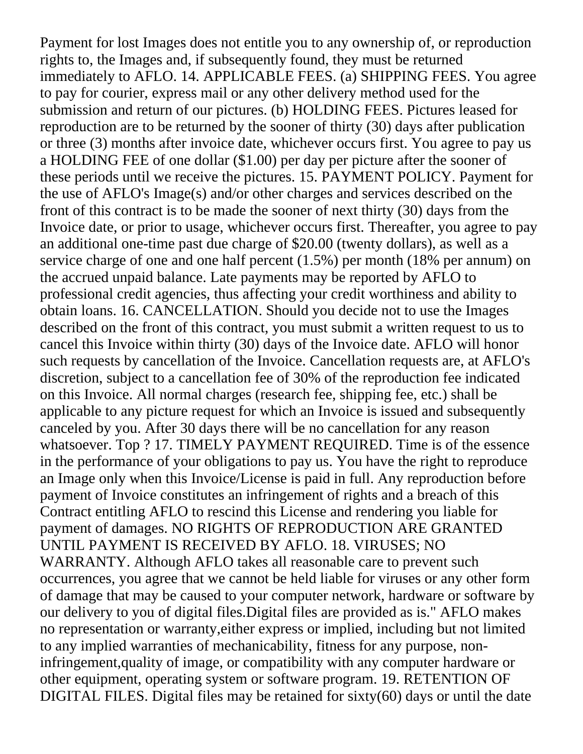Payment for lost Images does not entitle you to any ownership of, or reproduction rights to, the Images and, if subsequently found, they must be returned immediately to AFLO. 14. APPLICABLE FEES. (a) SHIPPING FEES. You agree to pay for courier, express mail or any other delivery method used for the submission and return of our pictures. (b) HOLDING FEES. Pictures leased for reproduction are to be returned by the sooner of thirty (30) days after publication or three (3) months after invoice date, whichever occurs first. You agree to pay us a HOLDING FEE of one dollar (\$1.00) per day per picture after the sooner of these periods until we receive the pictures. 15. PAYMENT POLICY. Payment for the use of AFLO's Image(s) and/or other charges and services described on the front of this contract is to be made the sooner of next thirty (30) days from the Invoice date, or prior to usage, whichever occurs first. Thereafter, you agree to pay an additional one-time past due charge of \$20.00 (twenty dollars), as well as a service charge of one and one half percent (1.5%) per month (18% per annum) on the accrued unpaid balance. Late payments may be reported by AFLO to professional credit agencies, thus affecting your credit worthiness and ability to obtain loans. 16. CANCELLATION. Should you decide not to use the Images described on the front of this contract, you must submit a written request to us to cancel this Invoice within thirty (30) days of the Invoice date. AFLO will honor such requests by cancellation of the Invoice. Cancellation requests are, at AFLO's discretion, subject to a cancellation fee of 30% of the reproduction fee indicated on this Invoice. All normal charges (research fee, shipping fee, etc.) shall be applicable to any picture request for which an Invoice is issued and subsequently canceled by you. After 30 days there will be no cancellation for any reason whatsoever. Top ? 17. TIMELY PAYMENT REQUIRED. Time is of the essence in the performance of your obligations to pay us. You have the right to reproduce an Image only when this Invoice/License is paid in full. Any reproduction before payment of Invoice constitutes an infringement of rights and a breach of this Contract entitling AFLO to rescind this License and rendering you liable for payment of damages. NO RIGHTS OF REPRODUCTION ARE GRANTED UNTIL PAYMENT IS RECEIVED BY AFLO. 18. VIRUSES; NO WARRANTY. Although AFLO takes all reasonable care to prevent such occurrences, you agree that we cannot be held liable for viruses or any other form of damage that may be caused to your computer network, hardware or software by our delivery to you of digital files.Digital files are provided as is." AFLO makes no representation or warranty,either express or implied, including but not limited to any implied warranties of mechanicability, fitness for any purpose, noninfringement,quality of image, or compatibility with any computer hardware or other equipment, operating system or software program. 19. RETENTION OF DIGITAL FILES. Digital files may be retained for sixty(60) days or until the date